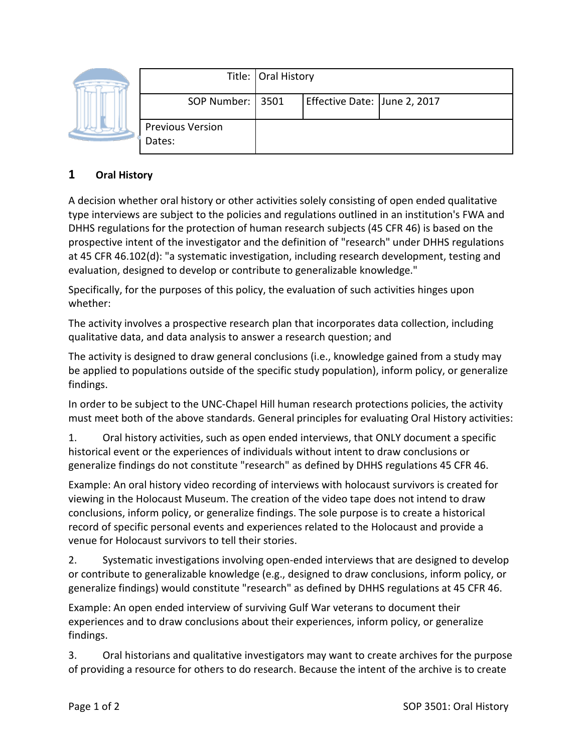|  |                                   | Title: Oral History |                              |  |
|--|-----------------------------------|---------------------|------------------------------|--|
|  | SOP Number:   3501                |                     | Effective Date: June 2, 2017 |  |
|  | <b>Previous Version</b><br>Dates: |                     |                              |  |

## **1 Oral History**

A decision whether oral history or other activities solely consisting of open ended qualitative type interviews are subject to the policies and regulations outlined in an institution's FWA and DHHS regulations for the protection of human research subjects (45 CFR 46) is based on the prospective intent of the investigator and the definition of "research" under DHHS regulations at 45 CFR 46.102(d): "a systematic investigation, including research development, testing and evaluation, designed to develop or contribute to generalizable knowledge."

Specifically, for the purposes of this policy, the evaluation of such activities hinges upon whether:

The activity involves a prospective research plan that incorporates data collection, including qualitative data, and data analysis to answer a research question; and

The activity is designed to draw general conclusions (i.e., knowledge gained from a study may be applied to populations outside of the specific study population), inform policy, or generalize findings.

In order to be subject to the UNC-Chapel Hill human research protections policies, the activity must meet both of the above standards. General principles for evaluating Oral History activities:

1. Oral history activities, such as open ended interviews, that ONLY document a specific historical event or the experiences of individuals without intent to draw conclusions or generalize findings do not constitute "research" as defined by DHHS regulations 45 CFR 46.

Example: An oral history video recording of interviews with holocaust survivors is created for viewing in the Holocaust Museum. The creation of the video tape does not intend to draw conclusions, inform policy, or generalize findings. The sole purpose is to create a historical record of specific personal events and experiences related to the Holocaust and provide a venue for Holocaust survivors to tell their stories.

2. Systematic investigations involving open-ended interviews that are designed to develop or contribute to generalizable knowledge (e.g., designed to draw conclusions, inform policy, or generalize findings) would constitute "research" as defined by DHHS regulations at 45 CFR 46.

Example: An open ended interview of surviving Gulf War veterans to document their experiences and to draw conclusions about their experiences, inform policy, or generalize findings.

3. Oral historians and qualitative investigators may want to create archives for the purpose of providing a resource for others to do research. Because the intent of the archive is to create